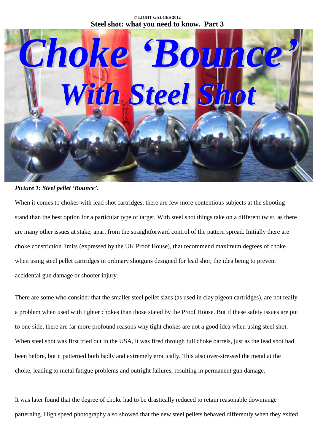## **© LIGHT GAUGES 2012 Steel shot: what you need to know. Part 3**



## *Picture 1: Steel pellet ëBounceí.*

When it comes to chokes with lead shot cartridges, there are few more contentious subjects at the shooting stand than the best option for a particular type of target. With steel shot things take on a different twist, as there are many other issues at stake, apart from the straightforward control of the pattern spread. Initially there are choke constriction limits (expressed by the UK Proof House), that recommend maximum degrees of choke when using steel pellet cartridges in ordinary shotguns designed for lead shot; the idea being to prevent accidental gun damage or shooter injury.

There are some who consider that the smaller steel pellet sizes (as used in clay pigeon cartridges), are not really a problem when used with tighter chokes than those stated by the Proof House. But if these safety issues are put to one side, there are far more profound reasons why tight chokes are not a good idea when using steel shot. When steel shot was first tried out in the USA, it was fired through full choke barrels, just as the lead shot had been before, but it patterned both badly and extremely erratically. This also over-stressed the metal at the choke, leading to metal fatigue problems and outright failures, resulting in permanent gun damage.

It was later found that the degree of choke had to be drastically reduced to retain reasonable downrange patterning. High speed photography also showed that the new steel pellets behaved differently when they exited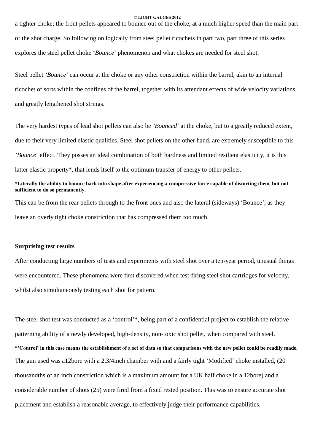a tighter choke; the front pellets appeared to bounce out of the choke, at a much higher speed than the main part of the shot charge. So following on logically from steel pellet ricochets in part two, part three of this series explores the steel pellet choke '*Bounce*' phenomenon and what chokes are needed for steel shot.

Steel pellet *ëBounceí* can occur at the choke or any other constriction within the barrel, akin to an internal ricochet of sorts within the confines of the barrel, together with its attendant effects of wide velocity variations and greatly lengthened shot strings.

The very hardest types of lead shot pellets can also be *ëBouncedí* at the choke, but to a greatly reduced extent, due to their very limited elastic qualities. Steel shot pellets on the other hand, are extremely susceptible to this *ëBounceí* effect. They posses an ideal combination of both hardness and limited resilient elasticity, it is this latter elastic property\*, that lends itself to the optimum transfer of energy to other pellets.

## \*Literally the ability to bounce back into shape after experiencing a compressive force capable of distorting them, but not **sufficient to do so permanently.**

This can be from the rear pellets through to the front ones and also the lateral (sideways) 'Bounce', as they leave an overly tight choke constriction that has compressed them too much.

## **Surprising test results**

After conducting large numbers of tests and experiments with steel shot over a ten-year period, unusual things were encountered. These phenomena were first discovered when test-firing steel shot cartridges for velocity, whilst also simultaneously testing each shot for pattern.

The steel shot test was conducted as a 'control'\*, being part of a confidential project to establish the relative patterning ability of a newly developed, high-density, non-toxic shot pellet, when compared with steel. \*'Control' in this case means the establishment of a set of data so that comparisons with the new pellet could be readily made. The gun used was a12bore with a 2,3/4inch chamber with and a fairly tight 'Modified' choke installed, (20) thousandths of an inch constriction which is a maximum amount for a UK half choke in a 12bore) and a considerable number of shots (25) were fired from a fixed rested position. This was to ensure accurate shot placement and establish a reasonable average, to effectively judge their performance capabilities.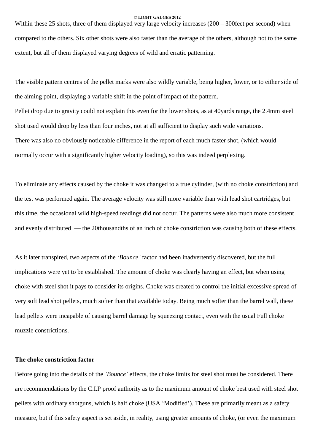Within these 25 shots, three of them displayed very large velocity increases  $(200 - 300$  feet per second) when compared to the others. Six other shots were also faster than the average of the others, although not to the same extent, but all of them displayed varying degrees of wild and erratic patterning.

The visible pattern centres of the pellet marks were also wildly variable, being higher, lower, or to either side of the aiming point, displaying a variable shift in the point of impact of the pattern. Pellet drop due to gravity could not explain this even for the lower shots, as at 40yards range, the 2.4mm steel shot used would drop by less than four inches, not at all sufficient to display such wide variations. There was also no obviously noticeable difference in the report of each much faster shot, (which would normally occur with a significantly higher velocity loading), so this was indeed perplexing.

To eliminate any effects caused by the choke it was changed to a true cylinder, (with no choke constriction) and the test was performed again. The average velocity was still more variable than with lead shot cartridges, but this time, the occasional wild high-speed readings did not occur. The patterns were also much more consistent and evenly distributed  $-$  the 20thousandths of an inch of choke constriction was causing both of these effects.

As itlater transpired, two aspects of the ë*Bounceí* factor had been inadvertently discovered, but the full implications were yet to be established. The amount of choke was clearly having an effect, but when using choke with steel shot it pays to consider its origins. Choke was created to control the initial excessive spread of very soft lead shot pellets, much softer than that available today. Being much softer than the barrel wall, these lead pellets were incapable of causing barrel damage by squeezing contact, even with the usual Full choke muzzle constrictions.

## **The choke constriction factor**

Before going into the details of the *ëBounceí* effects, the choke limits for steel shot must be considered. There are recommendations by the C.I.P proof authority as to the maximum amount of choke best used with steel shot pellets with ordinary shotguns, which is half choke (USA 'Modified'). These are primarily meant as a safety measure, but if this safety aspect is set aside, in reality, using greater amounts of choke, (or even the maximum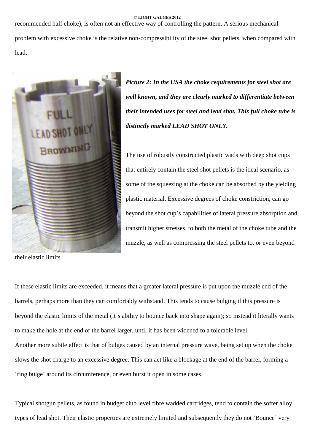recommended half choke), is often not an effective way of controlling the pattern. A serious mechanical problem with excessive choke is the relative non-compressibility of the steel shot pellets, when compared with lead.



*Picture 2: In the USA the choke requirements for steel shot are well known, and they are clearly marked to differentiate between their intended uses for steel and lead shot. This full choke tube is distinctly marked LEAD SHOT ONLY.*

The use of robustly constructed plastic wads with deep shot cups that entirely contain the steel shot pellets is the ideal scenario, as some of the squeezing at the choke can be absorbed by the yielding plastic material. Excessive degrees of choke constriction, can go beyond the shot cup's capabilities of lateral pressure absorption and transmit higher stresses, to both the metal of the choke tube and the muzzle, as well as compressing the steel pellets to, or even beyond

their elastic limits.

If these elastic limits are exceeded, it means that a greater lateral pressure is put upon the muzzle end of the barrels, perhaps more than they can comfortably withstand. This tends to cause bulging if this pressure is beyond the elastic limits of the metal (it's ability to bounce back into shape again); so instead it literally wants to make the hole at the end of the barrel larger, until it has been widened to a tolerable level. Another more subtle effect is that of bulges caused by an internal pressure wave, being set up when the choke slows the shot charge to an excessive degree. This can act like a blockage at the end of the barrel, forming a fring bulge' around its circumference, or even burst it open in some cases.

Typical shotgun pellets, as found in budget club level fibre wadded cartridges, tend to contain the softer alloy types of lead shot. Their elastic properties are extremely limited and subsequently they do not 'Bounce' very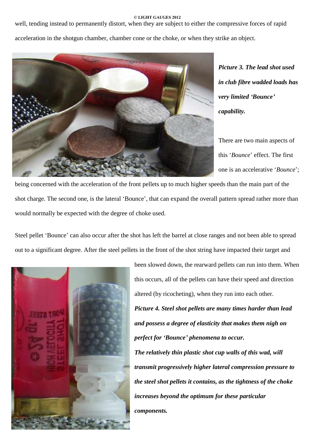well, tending instead to permanently distort, when they are subject to either the compressive forces of rapid

acceleration in the shotgun chamber, chamber cone or the choke, or when they strike an object.



*Picture 3. The lead shot used in club fibre wadded loads has very limited ëBounceí capability.*

There are two main aspects of this 'Bounce' effect. The first one is an accelerative 'Bounce';

being concerned with the acceleration of the front pellets up to much higher speeds than the main part of the shot charge. The second one, is the lateral 'Bounce', that can expand the overall pattern spread rather more than would normally be expected with the degree of choke used.

Steel pellet 'Bounce' can also occur after the shot has left the barrel at close ranges and not been able to spread out to a significant degree. After the steel pellets in the front of the shot string have impacted their target and



been slowed down, the rearward pellets can run into them. When this occurs, all of the pellets can have their speed and direction altered (by ricocheting), when they run into each other. *Picture 4. Steel shot pellets are many times harder than lead and possess a degree of elasticity that makes them nigh on perfect for ëBounceí phenomena to occur. The relatively thin plastic shot cup walls of this wad, will transmit progressively higher lateral compression pressure to the steel shot pellets itcontains, as the tightness of the choke increases beyond the optimum for these particular components.*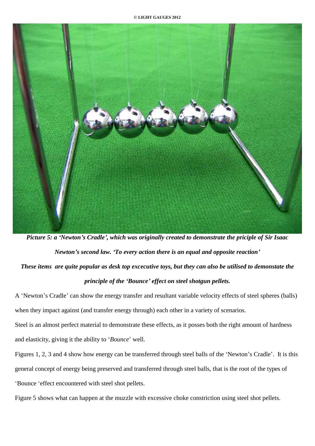

Picture 5: a 'Newton's Cradle', which was originally created to demonstrate the priciple of Sir Isaac *Newtonís second law. ëTo every action there is an equal and opposite reactioní* These items are quite popular as desk top excecutive toys, but they can also be utilised to demonstate the *principle of the ëBounceí effect on steelshotgun pellets.*

A 'Newton's Cradle' can show the energy transfer and resultant variable velocity effects of steel spheres (balls) when they impact against (and transfer energy through) each other in a variety of scenarios.

Steel is an almost perfect material to demonstrate these effects, as it posses both the right amount of hardness and elasticity, giving it the ability to 'Bounce' well.

Figures 1, 2, 3 and 4 show how energy can be transferred through steel balls of the 'Newton's Cradle'. It is this general concept of energy being preserved and transferred through steel balls, that is the root of the types of ëBounce ëeffect encountered with steel shot pellets.

Figure 5 shows what can happen at the muzzle with excessive choke constriction using steel shot pellets.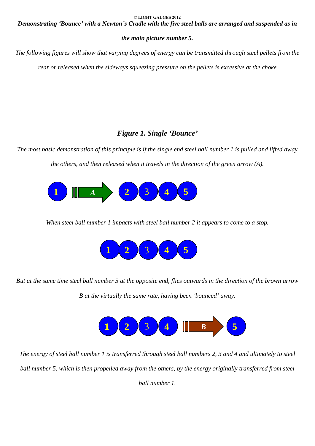Demonstrating 'Bounce' with a Newton's Cradle with the five steel balls are arranged and suspended as in

# *the main picture number 5.*

The following figures will show that varying degrees of energy can be transmitted through steel pellets from the

*rear or released when the sideways squeezing pressure on the pellets is excessive at the choke*

# *Figure 1. Single ëBounceí*

The most basic demonstration of this principle is if the single end steel ball number 1 is pulled and lifted away *the others, and then released when it travels in the direction of the green arrow (A).*



*When steel ball number 1 impacts with steel ball number 2 it appears to come to a stop.*



But at the same time steel ball number 5 at the opposite end, flies outwards in the direction of the brown arrow *B at the virtually the same rate, having been ëbouncedí away.*



The energy of steel ball number 1 is transferred through steel ball numbers 2, 3 and 4 and ultimately to steel ball number 5, which is then propelled away from the others, by the energy originally transferred from steel *ball number 1.*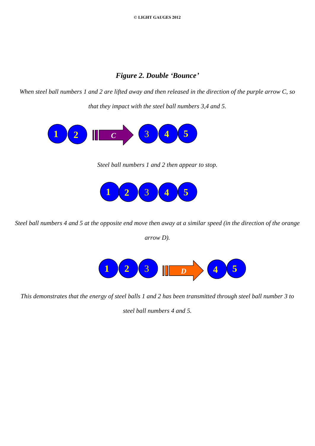# *Figure 2. Double ëBounceí*

When steel ball numbers 1 and 2 are lifted away and then released in the direction of the purple arrow C, so *that they impact with the steel ball numbers 3,4 and 5.*



*Steel ball numbers 1 and 2 then appear to stop.*



Steel ball numbers 4 and 5 at the opposite end move then away at a similar speed (in the direction of the orange

*arrow D).*



This demonstrates that the energy of steel balls 1 and 2 has been transmitted through steel ball number 3 to

*steel ball numbers 4 and 5.*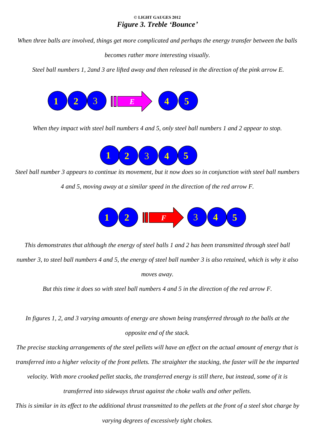# **© LIGHT GAUGES 2012** *Figure 3. Treble ëBounceí*

When three balls are involved, things get more complicated and perhaps the energy transfer between the balls

*becomes rather more interesting visually.*

Steel ball numbers 1, 2and 3 are lifted away and then released in the direction of the pink arrow E.



When they impact with steel ball numbers 4 and 5, only steel ball numbers 1 and 2 appear to stop.



Steel ball number 3 appears to continue its movement, but it now does so in conjunction with steel ball numbers

*4 and 5, moving away at a similar speed in the direction of the red arrow F.*



This demonstrates that although the energy of steel balls 1 and 2 has been transmitted through steel ball number 3, to steel ball numbers 4 and 5, the energy of steel ball number 3 is also retained, which is why it also *moves away.*

But this time it does so with steel ball numbers 4 and 5 in the direction of the red arrow F.

In figures 1, 2, and 3 varying amounts of energy are shown being transferred through to the balls at the *opposite end of the stack.*

The precise stacking arrangements of the steel pellets will have an effect on the actual amount of energy that is transferred into a higher velocity of the front pellets. The straighter the stacking, the faster will be the imparted velocity. With more crooked pellet stacks, the transferred energy is still there, but instead, some of it is *transferred into sideways thrust against the choke walls and other pellets.* This is similar in its effect to the additional thrust transmitted to the pellets at the front of a steel shot charge by

*varying degrees of excessively tight chokes.*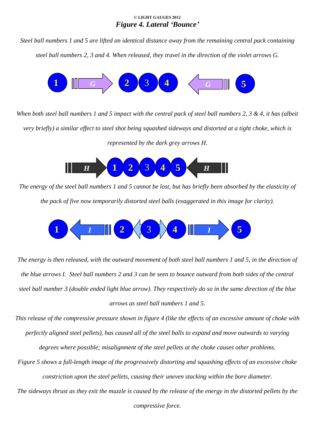# **© LIGHT GAUGES 2012** *Figure 4. Lateral ëBounceí*

Steel ball numbers 1 and 5 are lifted an identical distance away from the remaining central pack containing steel ball numbers 2, 3 and 4. When released, they travel in the direction of the violet arrows G.



When both steel ball numbers 1 and 5 impact with the central pack of steel ball numbers 2, 3 & 4, it has (albeit very briefly) a similar effect to steel shot being squashed sideways and distorted at a tight choke, which is *represented by the dark grey arrows H.*



The energy of the steel ball numbers 1 and 5 cannot be lost, but has briefly been absorbed by the elasticity of *the pack of five now temporarily distorted steel balls (exaggerated in this image for clarity).*



The energy is then released, with the outward movement of both steel ball numbers 1 and 5, in the direction of the blue arrows I. Steel ball numbers 2 and 3 can be seen to bounce outward from both sides of the central steel ball number 3 (double ended light blue arrow). They respectively do so in the same direction of the blue *arrows as steel ball numbers 1 and 5.*

This release of the compressive pressure shown in figure 4 (like the effects of an excessive amount of choke with perfectly aligned steel pellets), has caused all of the steel balls to expand and move outwards to varying *degrees where possible; misalignment of the steel pellets at the choke causes other problems.*

Figure 5 shows a full-length image of the progressively distorting and squashing effects of an excessive choke *constriction upon the steel pellets, causing their uneven stacking within the bore diameter.*

The sideways thrust as they exit the muzzle is caused by the release of the energy in the distorted pellets by the

*compressive force.*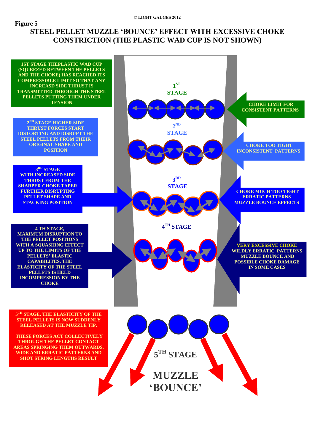# **Figure 5 STEEL PELLET MUZZLE ëBOUNCEí EFFECT WITH EXCESSIVE CHOKE CONSTRICTION (THE PLASTIC WAD CUP IS NOT SHOWN)**

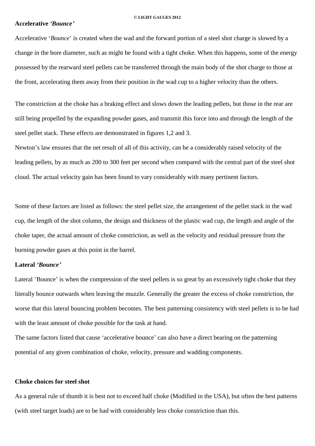## **Accelerative** *ëBounceí*

Accelerative *'Bounce'* is created when the wad and the forward portion of a steel shot charge is slowed by a change in the bore diameter, such as might be found with a tight choke. When this happens, some of the energy possessed by the rearward steel pellets can be transferred through the main body of the shot charge to those at the front, accelerating them away from their position in the wad cup to a higher velocity than the others.

The constriction at the choke has a braking effect and slows down the leading pellets, but those in the rear are still being propelled by the expanding powder gases, and transmit this force into and through the length of the steel pellet stack. These effects are demonstrated in figures 1,2 and 3.

Newton's law ensures that the net result of all of this activity, can be a considerably raised velocity of the leading pellets, by as much as 200 to 300 feet per second when compared with the central part of the steel shot cloud. The actual velocity gain has been found to vary considerably with many pertinent factors.

Some of these factors are listed as follows: the steel pellet size, the arrangement of the pellet stack in the wad cup, the length of the shot column, the design and thickness of the plastic wad cup, the length and angle of the choke taper, the actual amount of choke constriction, as well as the velocity and residual pressure from the burning powder gases at this point in the barrel.

## **Lateral** *ëBounceí*

Lateral 'Bounce' is when the compression of the steel pellets is so great by an excessively tight choke that they literally bounce outwards when leaving the muzzle. Generally the greater the excess of choke constriction, the worse that this lateral bouncing problem becomes. The best patterning consistency with steel pellets is to be had with the least amount of choke possible for the task at hand.

The same factors listed that cause 'accelerative bounce' can also have a direct bearing on the patterning potential of any given combination of choke, velocity, pressure and wadding components.

# **Choke choices for steel shot**

As a general rule of thumb it is best not to exceed half choke (Modified in the USA), but often the best patterns (with steel target loads) are to be had with considerably less choke constriction than this.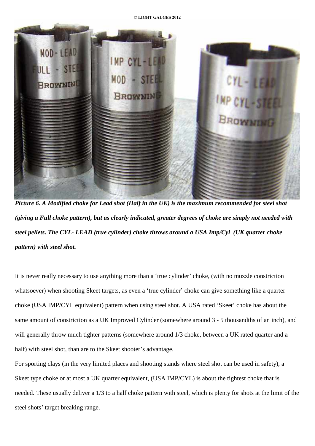

Picture 6. A Modified choke for Lead shot (Half in the UK) is the maximum recommended for steel shot (giving a Full choke pattern), but as clearly indicated, greater degrees of choke are simply not needed with *steel pellets. The CYL- LEAD (true cylinder) choke throws around a USA Imp/Cyl (UK quarter choke pattern) with steel shot.*

It is never really necessary to use anything more than a 'true cylinder' choke, (with no muzzle constriction whatsoever) when shooting Skeet targets, as even a 'true cylinder' choke can give something like a quarter choke (USA IMP/CYL equivalent) pattern when using steel shot. A USA rated 'Skeet' choke has about the same amount of constriction as a UK Improved Cylinder (somewhere around 3 - 5 thousandths of an inch), and will generally throw much tighter patterns (somewhere around  $1/3$  choke, between a UK rated quarter and a half) with steel shot, than are to the Skeet shooter's advantage.

For sporting clays (in the very limited places and shooting stands where steel shot can be used in safety), a Skeet type choke or at most a UK quarter equivalent, (USA IMP/CYL) is about the tightest choke that is needed. These usually deliver a 1/3 to a half choke pattern with steel, which is plenty for shots at the limit of the steel shots' target breaking range.